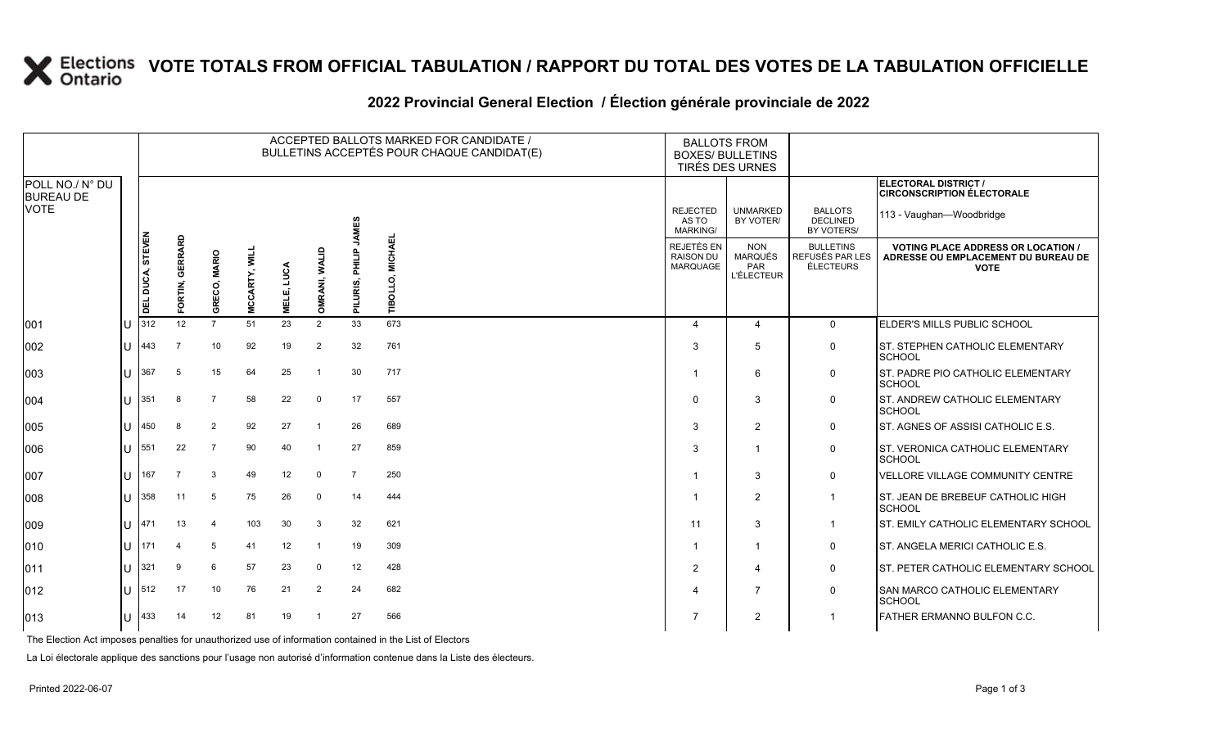# **X** Elections VOTE TOTALS FROM OFFICIAL TABULATION / RAPPORT DU TOTAL DES VOTES DE LA TABULATION OFFICIELLE

|                                     |    |                                      |                   |                 |               |                 |                      |                 | ACCEPTED BALLOTS MARKED FOR CANDIDATE /<br>BULLETINS ACCEPTÉS POUR CHAQUE CANDIDAT(E) | <b>BALLOTS FROM</b><br><b>BOXES/ BULLETINS</b><br>TIRÉS DES URNES |                                                          |                                                         |                                                                                                 |
|-------------------------------------|----|--------------------------------------|-------------------|-----------------|---------------|-----------------|----------------------|-----------------|---------------------------------------------------------------------------------------|-------------------------------------------------------------------|----------------------------------------------------------|---------------------------------------------------------|-------------------------------------------------------------------------------------------------|
| POLL NO./ N° DU<br><b>BUREAU DE</b> |    |                                      |                   |                 |               |                 |                      |                 |                                                                                       |                                                                   |                                                          |                                                         | ELECTORAL DISTRICT /<br><b>CIRCONSCRIPTION ÉLECTORALE</b>                                       |
| <b>VOTE</b>                         |    |                                      |                   |                 |               |                 |                      | <b>JAMES</b>    |                                                                                       | <b>REJECTED</b><br>AS TO<br><b>MARKING/</b>                       | <b>UNMARKED</b><br>BY VOTER/                             | <b>BALLOTS</b><br><b>DECLINED</b><br>BY VOTERS/         | 113 - Vaughan-Woodbridge                                                                        |
|                                     |    | <b>STEVEN</b><br>DUCA,<br><b>TEL</b> | GERRARD<br>ORTIN, | GRECO, MARIO    | MCCARTY, WILI | LUCA<br>MELE, I | <b>OMRANI, WALID</b> | PILURIS, PHILIP | <b>MICHAEL</b><br>TIBOLLO,                                                            | <b>REJETÉS EN</b><br><b>RAISON DU</b><br><b>MARQUAGE</b>          | <b>NON</b><br><b>MARQUÉS</b><br>PAR<br><b>L'ÉLECTEUR</b> | <b>BULLETINS</b><br>REFUSÉS PAR LES<br><b>ÉLECTEURS</b> | <b>VOTING PLACE ADDRESS OR LOCATION /</b><br>ADRESSE OU EMPLACEMENT DU BUREAU DE<br><b>VOTE</b> |
| 001                                 |    | 312                                  | 12                | $\overline{7}$  | 51            | 23              | 2                    | 33              | 673                                                                                   | $\overline{4}$                                                    | 4                                                        | $\mathbf{0}$                                            | ELDER'S MILLS PUBLIC SCHOOL                                                                     |
| 002                                 | Ш  | 443                                  | $\overline{7}$    | 10              | 92            | 19              | 2                    | 32              | 761                                                                                   | 3                                                                 | 5                                                        | 0                                                       | <b>ST. STEPHEN CATHOLIC ELEMENTARY</b><br><b>SCHOOL</b>                                         |
| 003                                 | ΙU | 367                                  | 5                 | 15              | 64            | 25              |                      | 30              | 717                                                                                   | -1                                                                | 6                                                        | 0                                                       | <b>ST. PADRE PIO CATHOLIC ELEMENTARY</b><br><b>SCHOOL</b>                                       |
| 004                                 | Ш  | 351                                  | 8                 | $\overline{7}$  | 58            | 22              | $\mathbf 0$          | 17              | 557                                                                                   | $\Omega$                                                          | 3                                                        | 0                                                       | <b>ST. ANDREW CATHOLIC ELEMENTARY</b><br><b>SCHOOL</b>                                          |
| 005                                 | ΙU | 450                                  | 8                 | 2               | 92            | 27              |                      | 26              | 689                                                                                   | 3                                                                 | 2                                                        | 0                                                       | <b>ST. AGNES OF ASSISI CATHOLIC E.S.</b>                                                        |
| 006                                 | ПT | 551                                  | 22                | $\overline{7}$  | 90            | 40              |                      | 27              | 859                                                                                   | 3                                                                 |                                                          | 0                                                       | <b>ST. VERONICA CATHOLIC ELEMENTARY</b><br>SCHOOL                                               |
| 007                                 | IU | 167                                  | $\overline{7}$    | 3               | 49            | 12              | $\mathbf 0$          | $\overline{7}$  | 250                                                                                   |                                                                   | 3                                                        | 0                                                       | VELLORE VILLAGE COMMUNITY CENTRE                                                                |
| 800                                 | lυ | 358                                  | 11                | $5\phantom{.0}$ | 75            | 26              | $\mathbf 0$          | 14              | 444                                                                                   | -1                                                                | $\overline{2}$                                           | $\mathbf{1}$                                            | ST. JEAN DE BREBEUF CATHOLIC HIGH<br><b>SCHOOL</b>                                              |
| 009                                 | Ш  | 1471                                 | 13                | $\overline{4}$  | 103           | 30              | 3                    | 32              | 621                                                                                   | 11                                                                | 3                                                        | -1                                                      | <b>ST. EMILY CATHOLIC ELEMENTARY SCHOOL</b>                                                     |
| 010                                 | lυ | <b>1</b> 171                         | 4                 | 5               | 41            | 12              |                      | 19              | 309                                                                                   | -1                                                                | -1                                                       | 0                                                       | ST. ANGELA MERICI CATHOLIC E.S.                                                                 |
| 011                                 | IU | 321                                  | 9                 | 6               | 57            | 23              | $\mathbf 0$          | 12              | 428                                                                                   | 2                                                                 | 4                                                        | 0                                                       | <b>ST. PETER CATHOLIC ELEMENTARY SCHOOL</b>                                                     |
| 012                                 | Ш  | 512                                  | 17                | 10              | 76            | 21              | $\overline{2}$       | 24              | 682                                                                                   | $\Delta$                                                          | $\overline{7}$                                           | 0                                                       | <b>SAN MARCO CATHOLIC ELEMENTARY</b><br>SCHOOL                                                  |
| 013                                 | ΙU | 433                                  | 14                | 12              | 81            | 19              |                      | 27              | 566                                                                                   | 7                                                                 | 2                                                        |                                                         | <b>FATHER ERMANNO BULFON C.C.</b>                                                               |

#### **2022 Provincial General Election / Élection générale provinciale de 2022**

The Election Act imposes penalties for unauthorized use of information contained in the List of Electors

La Loi électorale applique des sanctions pour l'usage non autorisé d'information contenue dans la Liste des électeurs.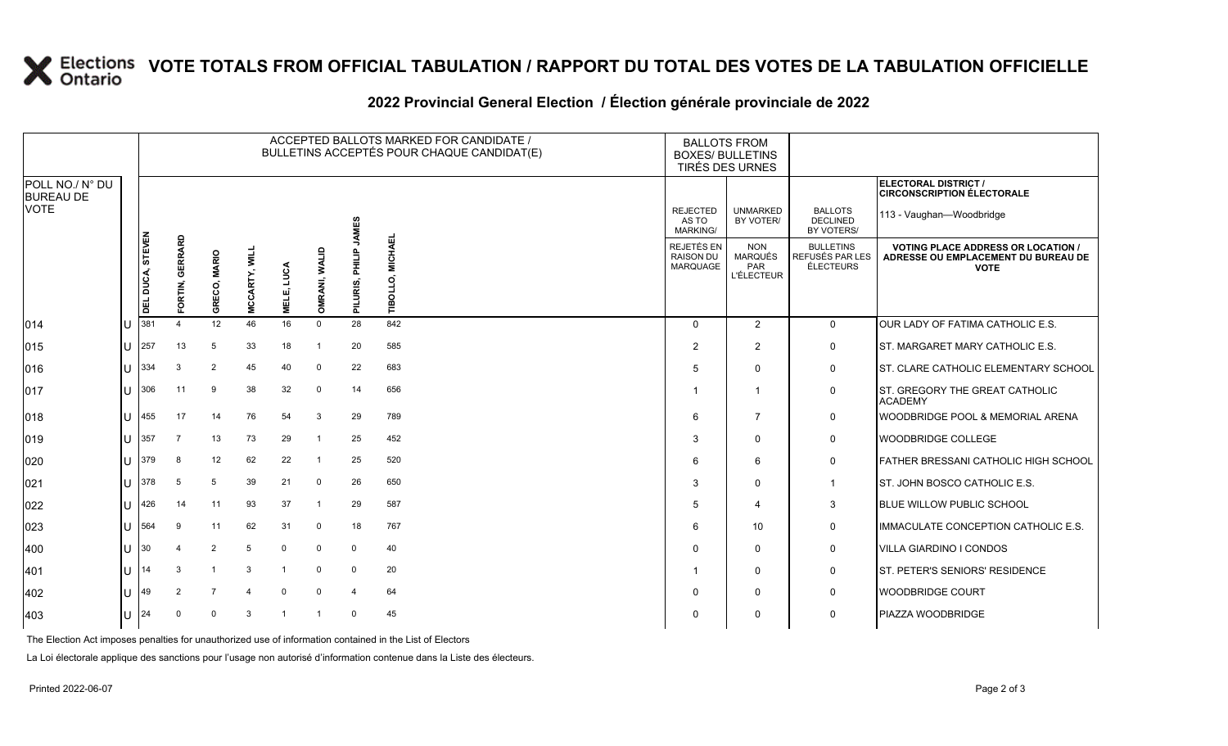# **X** Elections VOTE TOTALS FROM OFFICIAL TABULATION / RAPPORT DU TOTAL DES VOTES DE LA TABULATION OFFICIELLE

### **2022 Provincial General Election / Élection générale provinciale de 2022**

|                                     |    |                  |                    |                        |             |                 |                         |                    | ACCEPTED BALLOTS MARKED FOR CANDIDATE /<br>BULLETINS ACCEPTÉS POUR CHAQUE CANDIDAT(E) | <b>BALLOTS FROM</b><br><b>BOXES/ BULLETINS</b><br>TIRÉS DES URNES |                                                          |                                                  |                                                                                               |
|-------------------------------------|----|------------------|--------------------|------------------------|-------------|-----------------|-------------------------|--------------------|---------------------------------------------------------------------------------------|-------------------------------------------------------------------|----------------------------------------------------------|--------------------------------------------------|-----------------------------------------------------------------------------------------------|
| POLL NO./ N° DU<br><b>BUREAU DE</b> |    |                  |                    |                        |             |                 |                         |                    |                                                                                       |                                                                   |                                                          |                                                  | ELECTORAL DISTRICT /<br><b>CIRCONSCRIPTION ÉLECTORALE</b>                                     |
| <b>VOTE</b>                         |    |                  |                    |                        |             |                 |                         | <b>JAMES</b>       |                                                                                       | <b>REJECTED</b><br>AS TO<br><b>MARKING/</b>                       | <b>UNMARKED</b><br>BY VOTER/                             | <b>BALLOTS</b><br><b>DECLINED</b><br>BY VOTERS/  | 113 - Vaughan-Woodbridge                                                                      |
|                                     |    | DEL DUCA, STEVEN | GERRARD<br>FORTIN, | <b>MARIO</b><br>GRECO, | MCCARTY, WI | LUCA<br>пí<br>빌 | <b>WALID</b><br>OMRANI, | 음<br>로<br>PILURIS, | <b>MICHAE</b><br>BOLLO,<br>ᄅ                                                          | <b>REJETÉS EN</b><br><b>RAISON DU</b><br><b>MARQUAGE</b>          | <b>NON</b><br>MARQUÉS<br><b>PAR</b><br><b>L'ÉLECTEUR</b> | <b>BULLETINS</b><br>REFUSÉS PAR LES<br>ÉLECTEURS | <b>VOTING PLACE ADDRESS OR LOCATION</b><br>ADRESSE OU EMPLACEMENT DU BUREAU DE<br><b>VOTE</b> |
| 014                                 |    | 381              |                    | 12                     | 46          | 16              | $\mathbf 0$             | 28                 | 842                                                                                   | $\Omega$                                                          | $\overline{2}$                                           | $\mathbf 0$                                      | OUR LADY OF FATIMA CATHOLIC E.S.                                                              |
| 015                                 | IU | 257              | 13                 | 5                      | 33          | 18              | -1                      | 20                 | 585                                                                                   | $\overline{2}$                                                    | 2                                                        | 0                                                | <b>IST. MARGARET MARY CATHOLIC E.S.</b>                                                       |
| 016                                 | Ш  | 334              | 3                  | 2                      | 45          | 40              | $\mathbf 0$             | 22                 | 683                                                                                   | 5                                                                 | $\Omega$                                                 | 0                                                | ST. CLARE CATHOLIC ELEMENTARY SCHOOL                                                          |
| 017                                 | IU | 306              | 11                 | 9                      | 38          | 32              | 0                       | 14                 | 656                                                                                   |                                                                   | $\mathbf 1$                                              | 0                                                | ST. GREGORY THE GREAT CATHOLIC<br><b>ACADEMY</b>                                              |
| 018                                 | IU | 455              | 17                 | 14                     | 76          | 54              | 3                       | 29                 | 789                                                                                   | 6                                                                 | 7                                                        | 0                                                | <b>WOODBRIDGE POOL &amp; MEMORIAL ARENA</b>                                                   |
| 019                                 | ПT | 357              | -7                 | 13                     | 73          | 29              | -1                      | 25                 | 452                                                                                   | 3                                                                 | $\Omega$                                                 | $\mathbf 0$                                      | <b>WOODBRIDGE COLLEGE</b>                                                                     |
| 020                                 | IП | 379              | 8                  | 12                     | 62          | 22              | -1                      | 25                 | 520                                                                                   | 6                                                                 | 6                                                        | 0                                                | FATHER BRESSANI CATHOLIC HIGH SCHOOL                                                          |
| 021                                 | ПT | 378              | 5                  | 5                      | 39          | 21              | $\mathbf 0$             | 26                 | 650                                                                                   | 3                                                                 | $\Omega$                                                 | $\mathbf{1}$                                     | <b>ST. JOHN BOSCO CATHOLIC E.S.</b>                                                           |
| 022                                 | Ш  | 426              | 14                 | 11                     | 93          | 37              | -1                      | 29                 | 587                                                                                   | 5                                                                 | 4                                                        | 3                                                | <b>BLUE WILLOW PUBLIC SCHOOL</b>                                                              |
| 023                                 | IU | 564              | 9                  | 11                     | 62          | 31              | $\mathbf 0$             | 18                 | 767                                                                                   | 6                                                                 | 10                                                       | 0                                                | IMMACULATE CONCEPTION CATHOLIC E.S.                                                           |
| 400                                 | Ш  | 30               | 4                  | 2                      | 5           | $\mathbf 0$     | $\mathbf 0$             | 0                  | 40                                                                                    | $\Omega$                                                          | $\Omega$                                                 | 0                                                | <b>VILLA GIARDINO I CONDOS</b>                                                                |
| 401                                 | IП | 14               | 3                  |                        | 3           |                 | $\Omega$                | $\mathbf 0$        | 20                                                                                    |                                                                   | $\Omega$                                                 | 0                                                | <b>IST. PETER'S SENIORS' RESIDENCE</b>                                                        |
| 402                                 | IП | 49               | $\overline{2}$     | $\overline{7}$         |             | $\Omega$        | $\Omega$                | 4                  | 64                                                                                    | $\Omega$                                                          | $\Omega$                                                 | 0                                                | <b>WOODBRIDGE COURT</b>                                                                       |
| 403                                 | IU | 24               | $\Omega$           | $\Omega$               | 3           |                 |                         | $\Omega$           | 45                                                                                    | <sup>0</sup>                                                      | $\Omega$                                                 | 0                                                | <b>PIAZZA WOODBRIDGE</b>                                                                      |

The Election Act imposes penalties for unauthorized use of information contained in the List of Electors

La Loi électorale applique des sanctions pour l'usage non autorisé d'information contenue dans la Liste des électeurs.